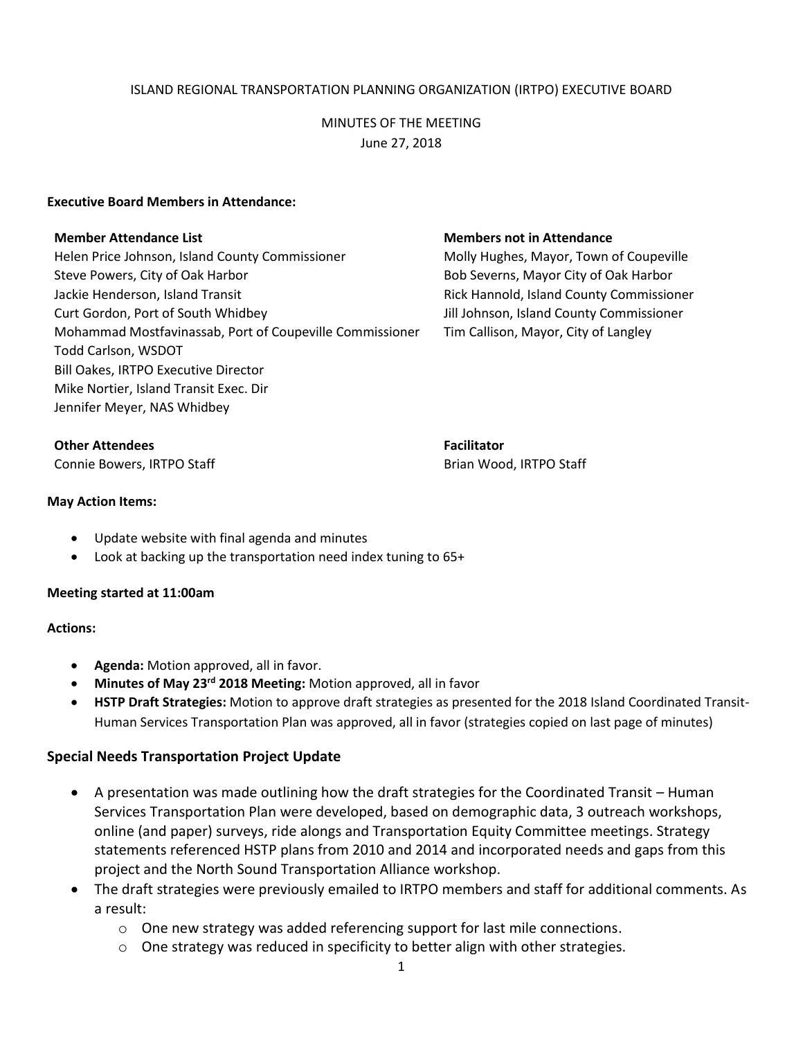# ISLAND REGIONAL TRANSPORTATION PLANNING ORGANIZATION (IRTPO) EXECUTIVE BOARD

# MINUTES OF THE MEETING June 27, 2018

### **Executive Board Members in Attendance:**

Helen Price Johnson, Island County Commissioner Molly Hughes, Mayor, Town of Coupeville Steve Powers, City of Oak Harbor **Bob Severns, Mayor City of Oak Harbor** Bob Severns, Mayor City of Oak Harbor Jackie Henderson, Island Transit Rick Hannold, Island County Commissioner Curt Gordon, Port of South Whidbey Jill Johnson, Island County Commissioner Mohammad Mostfavinassab, Port of Coupeville Commissioner Tim Callison, Mayor, City of Langley Todd Carlson, WSDOT Bill Oakes, IRTPO Executive Director Mike Nortier, Island Transit Exec. Dir Jennifer Meyer, NAS Whidbey

#### **Member Attendance List Members not in Attendance**

**Other Attendees Facilitator Facilitator Facilitator** 

Connie Bowers, IRTPO Staff **Brian Wood, IRTPO Staff** Brian Wood, IRTPO Staff

### **May Action Items:**

- Update website with final agenda and minutes
- Look at backing up the transportation need index tuning to 65+

#### **Meeting started at 11:00am**

## **Actions:**

- **Agenda:** Motion approved, all in favor.
- **Minutes of May 23rd 2018 Meeting:** Motion approved, all in favor
- **HSTP Draft Strategies:** Motion to approve draft strategies as presented for the 2018 Island Coordinated Transit-Human Services Transportation Plan was approved, all in favor (strategies copied on last page of minutes)

## **Special Needs Transportation Project Update**

- A presentation was made outlining how the draft strategies for the Coordinated Transit Human Services Transportation Plan were developed, based on demographic data, 3 outreach workshops, online (and paper) surveys, ride alongs and Transportation Equity Committee meetings. Strategy statements referenced HSTP plans from 2010 and 2014 and incorporated needs and gaps from this project and the North Sound Transportation Alliance workshop.
- The draft strategies were previously emailed to IRTPO members and staff for additional comments. As a result:
	- $\circ$  One new strategy was added referencing support for last mile connections.
	- $\circ$  One strategy was reduced in specificity to better align with other strategies.